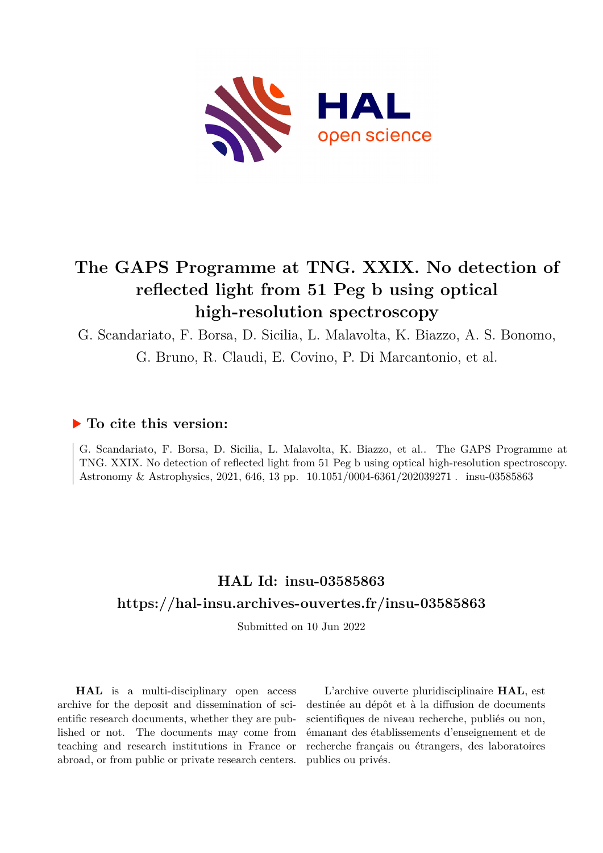

# **The GAPS Programme at TNG. XXIX. No detection of reflected light from 51 Peg b using optical high-resolution spectroscopy**

G. Scandariato, F. Borsa, D. Sicilia, L. Malavolta, K. Biazzo, A. S. Bonomo, G. Bruno, R. Claudi, E. Covino, P. Di Marcantonio, et al.

## **To cite this version:**

G. Scandariato, F. Borsa, D. Sicilia, L. Malavolta, K. Biazzo, et al.. The GAPS Programme at TNG. XXIX. No detection of reflected light from 51 Peg b using optical high-resolution spectroscopy. Astronomy & Astrophysics, 2021, 646, 13 pp.  $10.1051/0004-6361/202039271$ . insu-03585863

## **HAL Id: insu-03585863 <https://hal-insu.archives-ouvertes.fr/insu-03585863>**

Submitted on 10 Jun 2022

**HAL** is a multi-disciplinary open access archive for the deposit and dissemination of scientific research documents, whether they are published or not. The documents may come from teaching and research institutions in France or abroad, or from public or private research centers.

L'archive ouverte pluridisciplinaire **HAL**, est destinée au dépôt et à la diffusion de documents scientifiques de niveau recherche, publiés ou non, émanant des établissements d'enseignement et de recherche français ou étrangers, des laboratoires publics ou privés.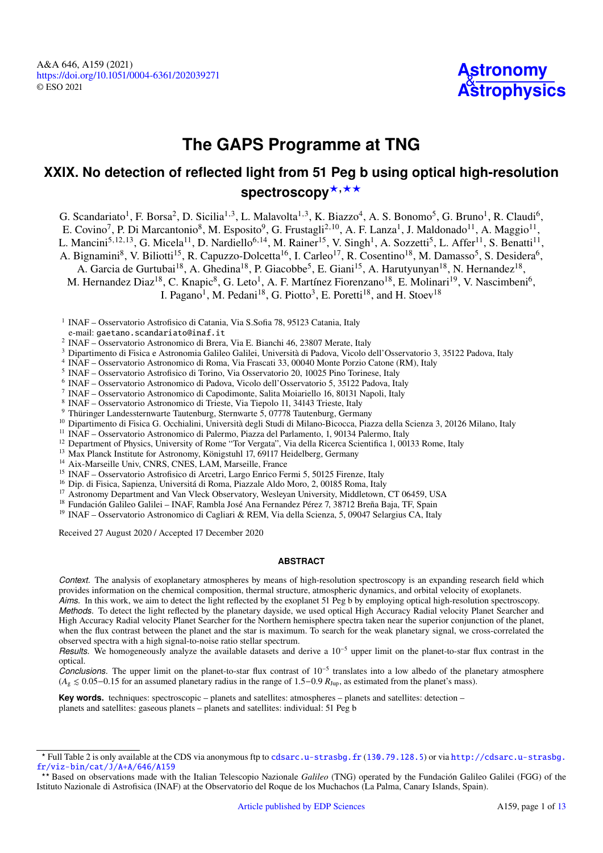A&A 646, A159 (2021) <https://doi.org/10.1051/0004-6361/202039271> © ESO 2021



# **The GAPS Programme at TNG**

## **XXIX. No detection of reflected light from 51 Peg b using optical high-resolution** spectroscopy<sup>\*,\*\*</sup>

G. Scandariato<sup>1</sup>, F. Borsa<sup>2</sup>, D. Sicilia<sup>1,3</sup>, L. Malavolta<sup>1,3</sup>, K. Biazzo<sup>4</sup>, A. S. Bonomo<sup>5</sup>, G. Bruno<sup>1</sup>, R. Claudi<sup>6</sup>, E. Covino<sup>7</sup>, P. Di Marcantonio<sup>8</sup>, M. Esposito<sup>9</sup>, G. Frustagli<sup>2,10</sup>, A. F. Lanza<sup>1</sup>, J. Maldonado<sup>11</sup>, A. Maggio<sup>11</sup>, L. Mancini<sup>5,12,13</sup>, G. Micela<sup>11</sup>, D. Nardiello<sup>6,14</sup>, M. Rainer<sup>15</sup>, V. Singh<sup>1</sup>, A. Sozzetti<sup>5</sup>, L. Affer<sup>11</sup>, S. Benatti<sup>11</sup>,

A. Bignamini<sup>8</sup>, V. Biliotti<sup>15</sup>, R. Capuzzo-Dolcetta<sup>16</sup>, I. Carleo<sup>17</sup>, R. Cosentino<sup>18</sup>, M. Damasso<sup>5</sup>, S. Desidera<sup>6</sup>,

A. Garcia de Gurtubai<sup>18</sup>, A. Ghedina<sup>18</sup>, P. Giacobbe<sup>5</sup>, E. Giani<sup>15</sup>, A. Harutyunyan<sup>18</sup>, N. Hernandez<sup>18</sup>,

M. Hernandez Diaz<sup>18</sup>, C. Knapic<sup>8</sup>, G. Leto<sup>1</sup>, A. F. Martínez Fiorenzano<sup>18</sup>, E. Molinari<sup>19</sup>, V. Nascimbeni<sup>6</sup>,

I. Pagano<sup>1</sup>, M. Pedani<sup>18</sup>, G. Piotto<sup>3</sup>, E. Poretti<sup>18</sup>, and H. Stoev<sup>18</sup>

<sup>1</sup> INAF – Osservatorio Astrofisico di Catania, Via S.Sofia 78, 95123 Catania, Italy

- <sup>2</sup> INAF Osservatorio Astronomico di Brera, Via E. Bianchi 46, 23807 Merate, Italy
- <sup>3</sup> Dipartimento di Fisica e Astronomia Galileo Galilei, Università di Padova, Vicolo dell'Osservatorio 3, 35122 Padova, Italy
- 4 INAF Osservatorio Astronomico di Roma, Via Frascati 33, 00040 Monte Porzio Catone (RM), Italy
- <sup>5</sup> INAF Osservatorio Astrofisico di Torino, Via Osservatorio 20, 10025 Pino Torinese, Italy
- 6 INAF Osservatorio Astronomico di Padova, Vicolo dell'Osservatorio 5, 35122 Padova, Italy
- 7 INAF Osservatorio Astronomico di Capodimonte, Salita Moiariello 16, 80131 Napoli, Italy
- 8 INAF Osservatorio Astronomico di Trieste, Via Tiepolo 11, 34143 Trieste, Italy
- <sup>9</sup> Thüringer Landessternwarte Tautenburg, Sternwarte 5, 07778 Tautenburg, Germany
- <sup>10</sup> Dipartimento di Fisica G. Occhialini, Università degli Studi di Milano-Bicocca, Piazza della Scienza 3, 20126 Milano, Italy
- <sup>11</sup> INAF Osservatorio Astronomico di Palermo, Piazza del Parlamento, 1, 90134 Palermo, Italy
- <sup>12</sup> Department of Physics, University of Rome "Tor Vergata", Via della Ricerca Scientifica 1, 00133 Rome, Italy
- <sup>13</sup> Max Planck Institute for Astronomy, Königstuhl 17, 69117 Heidelberg, Germany
- <sup>14</sup> Aix-Marseille Univ, CNRS, CNES, LAM, Marseille, France
- <sup>15</sup> INAF Osservatorio Astrofisico di Arcetri, Largo Enrico Fermi 5, 50125 Firenze, Italy
- <sup>16</sup> Dip. di Fisica, Sapienza, Universitá di Roma, Piazzale Aldo Moro, 2, 00185 Roma, Italy
- <sup>17</sup> Astronomy Department and Van Vleck Observatory, Wesleyan University, Middletown, CT 06459, USA
- <sup>18</sup> Fundación Galileo Galilei INAF, Rambla José Ana Fernandez Pérez 7, 38712 Breña Baja, TF, Spain
- <sup>19</sup> INAF Osservatorio Astronomico di Cagliari & REM, Via della Scienza, 5, 09047 Selargius CA, Italy

Received 27 August 2020 / Accepted 17 December 2020

## **ABSTRACT**

*Context.* The analysis of exoplanetary atmospheres by means of high-resolution spectroscopy is an expanding research field which provides information on the chemical composition, thermal structure, atmospheric dynamics, and orbital velocity of exoplanets.

*Aims.* In this work, we aim to detect the light reflected by the exoplanet 51 Peg b by employing optical high-resolution spectroscopy. *Methods.* To detect the light reflected by the planetary dayside, we used optical High Accuracy Radial velocity Planet Searcher and High Accuracy Radial velocity Planet Searcher for the Northern hemisphere spectra taken near the superior conjunction of the planet, when the flux contrast between the planet and the star is maximum. To search for the weak planetary signal, we cross-correlated the observed spectra with a high signal-to-noise ratio stellar spectrum.

*Results.* We homogeneously analyze the available datasets and derive a 10<sup>-5</sup> upper limit on the planet-to-star flux contrast in the optical.

*Conclusions.* The upper limit on the planet-to-star flux contrast of 10−<sup>5</sup> translates into a low albedo of the planetary atmosphere  $(A<sub>g</sub> \le 0.05$ −0.15 for an assumed planetary radius in the range of 1.5−0.9  $R<sub>Jup</sub>$ , as estimated from the planet's mass).

**Key words.** techniques: spectroscopic – planets and satellites: atmospheres – planets and satellites: detection – planets and satellites: gaseous planets – planets and satellites: individual: 51 Peg b

e-mail: [gaetano.scandariato@inaf.it](mailto:gaetano.scandariato@inaf.it)

<sup>?</sup> Full Table 2 is only available at the CDS via anonymous ftp to [cdsarc.u-strasbg.fr](http://cdsarc.u-strasbg.fr) ([130.79.128.5](ftp://130.79.128.5)) or via [http://cdsarc.u-strasbg.](http://cdsarc.u-strasbg.fr/viz-bin/cat/J/A+A/646/A159) [fr/viz-bin/cat/J/A+A/646/A159](http://cdsarc.u-strasbg.fr/viz-bin/cat/J/A+A/646/A159)

<sup>??</sup> Based on observations made with the Italian Telescopio Nazionale *Galileo* (TNG) operated by the Fundación Galileo Galilei (FGG) of the Istituto Nazionale di Astrofisica (INAF) at the Observatorio del Roque de los Muchachos (La Palma, Canary Islands, Spain).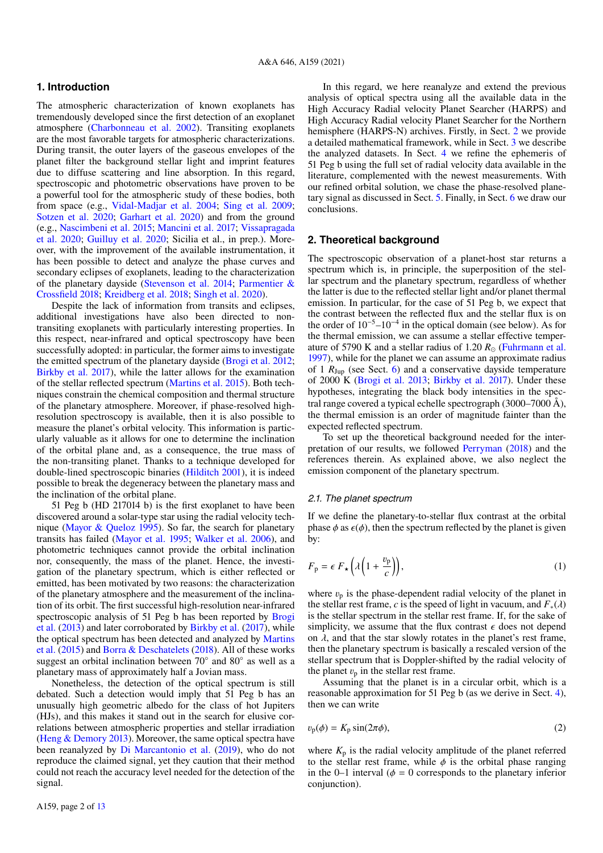## **1. Introduction**

The atmospheric characterization of known exoplanets has tremendously developed since the first detection of an exoplanet atmosphere (Charbonneau et al. 2002). Transiting exoplanets are the most favorable targets for atmospheric characterizations. During transit, the outer layers of the gaseous envelopes of the planet filter the background stellar light and imprint features due to diffuse scattering and line absorption. In this regard, spectroscopic and photometric observations have proven to be a powerful tool for the atmospheric study of these bodies, both from space (e.g., Vidal-Madjar et al. 2004; Sing et al. 2009; Sotzen et al. 2020; Garhart et al. 2020) and from the ground (e.g., Nascimbeni et al. 2015; Mancini et al. 2017; Vissapragada et al. 2020; Guilluy et al. 2020; Sicilia et al., in prep.). Moreover, with the improvement of the available instrumentation, it has been possible to detect and analyze the phase curves and secondary eclipses of exoplanets, leading to the characterization of the planetary dayside (Stevenson et al. 2014; Parmentier & Crossfield 2018; Kreidberg et al. 2018; Singh et al. 2020).

Despite the lack of information from transits and eclipses, additional investigations have also been directed to nontransiting exoplanets with particularly interesting properties. In this respect, near-infrared and optical spectroscopy have been successfully adopted: in particular, the former aims to investigate the emitted spectrum of the planetary dayside (Brogi et al. 2012; Birkby et al. 2017), while the latter allows for the examination of the stellar reflected spectrum (Martins et al. 2015). Both techniques constrain the chemical composition and thermal structure of the planetary atmosphere. Moreover, if phase-resolved highresolution spectroscopy is available, then it is also possible to measure the planet's orbital velocity. This information is particularly valuable as it allows for one to determine the inclination of the orbital plane and, as a consequence, the true mass of the non-transiting planet. Thanks to a technique developed for double-lined spectroscopic binaries (Hilditch 2001), it is indeed possible to break the degeneracy between the planetary mass and the inclination of the orbital plane.

51 Peg b (HD 217014 b) is the first exoplanet to have been discovered around a solar-type star using the radial velocity technique (Mayor & Queloz 1995). So far, the search for planetary transits has failed (Mayor et al. 1995; Walker et al. 2006), and photometric techniques cannot provide the orbital inclination nor, consequently, the mass of the planet. Hence, the investigation of the planetary spectrum, which is either reflected or emitted, has been motivated by two reasons: the characterization of the planetary atmosphere and the measurement of the inclination of its orbit. The first successful high-resolution near-infrared spectroscopic analysis of 51 Peg b has been reported by Brogi et al. (2013) and later corroborated by Birkby et al. (2017), while the optical spectrum has been detected and analyzed by Martins et al. (2015) and Borra & Deschatelets (2018). All of these works suggest an orbital inclination between 70° and 80° as well as a planetary mass of approximately half a Jovian mass.

Nonetheless, the detection of the optical spectrum is still debated. Such a detection would imply that 51 Peg b has an unusually high geometric albedo for the class of hot Jupiters (HJs), and this makes it stand out in the search for elusive correlations between atmospheric properties and stellar irradiation (Heng & Demory 2013). Moreover, the same optical spectra have been reanalyzed by Di Marcantonio et al. (2019), who do not reproduce the claimed signal, yet they caution that their method could not reach the accuracy level needed for the detection of the signal.

In this regard, we here reanalyze and extend the previous analysis of optical spectra using all the available data in the High Accuracy Radial velocity Planet Searcher (HARPS) and High Accuracy Radial velocity Planet Searcher for the Northern hemisphere (HARPS-N) archives. Firstly, in Sect. 2 we provide a detailed mathematical framework, while in Sect. 3 we describe the analyzed datasets. In Sect. 4 we refine the ephemeris of 51 Peg b using the full set of radial velocity data available in the literature, complemented with the newest measurements. With our refined orbital solution, we chase the phase-resolved planetary signal as discussed in Sect. 5. Finally, in Sect. 6 we draw our conclusions.

## **2. Theoretical background**

The spectroscopic observation of a planet-host star returns a spectrum which is, in principle, the superposition of the stellar spectrum and the planetary spectrum, regardless of whether the latter is due to the reflected stellar light and/or planet thermal emission. In particular, for the case of 51 Peg b, we expect that the contrast between the reflected flux and the stellar flux is on the order of 10−5–10−<sup>4</sup> in the optical domain (see below). As for the thermal emission, we can assume a stellar effective temperature of 5790 K and a stellar radius of 1.20  $R_{\odot}$  (Fuhrmann et al. 1997), while for the planet we can assume an approximate radius of 1 *R*Jup (see Sect. 6) and a conservative dayside temperature of 2000 K (Brogi et al. 2013; Birkby et al. 2017). Under these hypotheses, integrating the black body intensities in the spectral range covered a typical echelle spectrograph  $(3000–7000 \text{ Å})$ , the thermal emission is an order of magnitude fainter than the expected reflected spectrum.

To set up the theoretical background needed for the interpretation of our results, we followed Perryman (2018) and the references therein. As explained above, we also neglect the emission component of the planetary spectrum.

#### *2.1. The planet spectrum*

If we define the planetary-to-stellar flux contrast at the orbital phase  $\phi$  as  $\epsilon(\phi)$ , then the spectrum reflected by the planet is given by:

$$
F_{\mathbf{p}} = \epsilon \, F_{\star} \left( \lambda \left( 1 + \frac{v_{\mathbf{p}}}{c} \right) \right),\tag{1}
$$

where  $v_p$  is the phase-dependent radial velocity of the planet in the stellar rest frame, *c* is the speed of light in vacuum, and  $F_*(\lambda)$ is the stellar spectrum in the stellar rest frame. If, for the sake of simplicity, we assume that the flux contrast  $\epsilon$  does not depend on  $\lambda$ , and that the star slowly rotates in the planet's rest frame, then the planetary spectrum is basically a rescaled version of the stellar spectrum that is Doppler-shifted by the radial velocity of the planet  $v_n$  in the stellar rest frame.

Assuming that the planet is in a circular orbit, which is a reasonable approximation for 51 Peg b (as we derive in Sect. 4), then we can write

$$
v_{\rm p}(\phi) = K_{\rm p} \sin(2\pi\phi),\tag{2}
$$

where  $K_p$  is the radial velocity amplitude of the planet referred to the stellar rest frame, while  $\phi$  is the orbital phase ranging in the 0–1 interval ( $\phi = 0$  corresponds to the planetary inferior conjunction).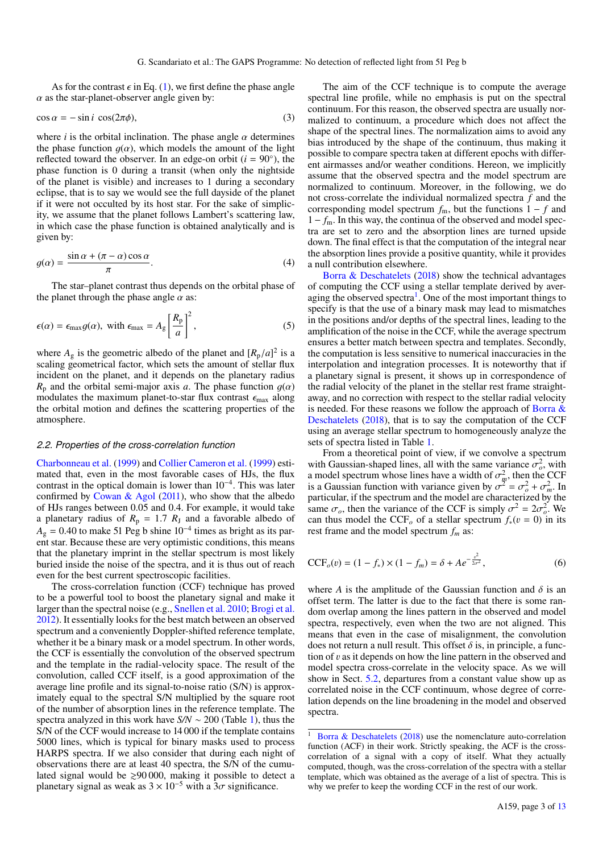As for the contrast  $\epsilon$  in Eq. (1), we first define the phase angle  $\alpha$  as the star-planet-observer angle given by:

$$
\cos \alpha = -\sin i \cos(2\pi \phi),\tag{3}
$$

where  $i$  is the orbital inclination. The phase angle  $\alpha$  determines the phase function  $g(\alpha)$ , which models the amount of the light reflected toward the observer. In an edge-on orbit  $(i = 90°)$ , the phase function is 0 during a transit (when only the nightside of the planet is visible) and increases to 1 during a secondary eclipse, that is to say we would see the full dayside of the planet if it were not occulted by its host star. For the sake of simplicity, we assume that the planet follows Lambert's scattering law, in which case the phase function is obtained analytically and is given by:

$$
g(\alpha) = \frac{\sin \alpha + (\pi - \alpha)\cos \alpha}{\pi}.
$$
 (4)

The star–planet contrast thus depends on the orbital phase of the planet through the phase angle  $\alpha$  as:

$$
\epsilon(\alpha) = \epsilon_{\text{max}} g(\alpha), \text{ with } \epsilon_{\text{max}} = A_{g} \left[ \frac{R_{p}}{a} \right]^{2}, \qquad (5)
$$

where  $A_g$  is the geometric albedo of the planet and  $[R_p/a]^2$  is a scaling geometrical factor, which sets the amount of stellar flux incident on the planet, and it depends on the planetary radius  $R_p$  and the orbital semi-major axis *a*. The phase function  $g(\alpha)$ modulates the maximum planet-to-star flux contrast  $\epsilon_{\text{max}}$  along the orbital motion and defines the scattering properties of the atmosphere.

#### *2.2. Properties of the cross-correlation function*

Charbonneau et al. (1999) and Collier Cameron et al. (1999) estimated that, even in the most favorable cases of HJs, the flux contrast in the optical domain is lower than  $10^{-4}$ . This was later confirmed by Cowan  $\&$  Agol (2011), who show that the albedo of HJs ranges between 0.05 and 0.4. For example, it would take a planetary radius of  $R_p = 1.7 R_J$  and a favorable albedo of  $A<sub>g</sub> = 0.40$  to make 51 Peg b shine 10<sup>-4</sup> times as bright as its parent star. Because these are very optimistic conditions, this means that the planetary imprint in the stellar spectrum is most likely buried inside the noise of the spectra, and it is thus out of reach even for the best current spectroscopic facilities.

The cross-correlation function (CCF) technique has proved to be a powerful tool to boost the planetary signal and make it larger than the spectral noise (e.g., Snellen et al. 2010; Brogi et al. 2012). It essentially looks for the best match between an observed spectrum and a conveniently Doppler-shifted reference template, whether it be a binary mask or a model spectrum. In other words, the CCF is essentially the convolution of the observed spectrum and the template in the radial-velocity space. The result of the convolution, called CCF itself, is a good approximation of the average line profile and its signal-to-noise ratio (S/N) is approximately equal to the spectral S/N multiplied by the square root of the number of absorption lines in the reference template. The spectra analyzed in this work have *S/N* ∼ 200 (Table 1), thus the S/N of the CCF would increase to 14 000 if the template contains 5000 lines, which is typical for binary masks used to process HARPS spectra. If we also consider that during each night of observations there are at least 40 spectra, the S/N of the cumulated signal would be  $\geq 90000$ , making it possible to detect a planetary signal as weak as  $3 \times 10^{-5}$  with a  $3\sigma$  significance.

The aim of the CCF technique is to compute the average spectral line profile, while no emphasis is put on the spectral continuum. For this reason, the observed spectra are usually normalized to continuum, a procedure which does not affect the shape of the spectral lines. The normalization aims to avoid any bias introduced by the shape of the continuum, thus making it possible to compare spectra taken at different epochs with different airmasses and/or weather conditions. Hereon, we implicitly assume that the observed spectra and the model spectrum are normalized to continuum. Moreover, in the following, we do not cross-correlate the individual normalized spectra *f* and the corresponding model spectrum  $f_m$ , but the functions  $1 - f$  and 1 − *f*m. In this way, the continua of the observed and model spectra are set to zero and the absorption lines are turned upside down. The final effect is that the computation of the integral near the absorption lines provide a positive quantity, while it provides a null contribution elsewhere.

Borra & Deschatelets (2018) show the technical advantages of computing the CCF using a stellar template derived by averaging the observed spectra<sup>1</sup>. One of the most important things to specify is that the use of a binary mask may lead to mismatches in the positions and/or depths of the spectral lines, leading to the amplification of the noise in the CCF, while the average spectrum ensures a better match between spectra and templates. Secondly, the computation is less sensitive to numerical inaccuracies in the interpolation and integration processes. It is noteworthy that if a planetary signal is present, it shows up in correspondence of the radial velocity of the planet in the stellar rest frame straightaway, and no correction with respect to the stellar radial velocity is needed. For these reasons we follow the approach of Borra  $\&$ Deschatelets (2018), that is to say the computation of the CCF using an average stellar spectrum to homogeneously analyze the sets of spectra listed in Table 1.

From a theoretical point of view, if we convolve a spectrum with Gaussian-shaped lines, all with the same variance  $\sigma_o^2$ , with a model spectrum whose lines have a width of  $\sigma_m^2$ , then the CCF is a Gaussian function with variance given by  $\sigma^2 = \sigma_o^2 + \sigma_m^2$ . In particular, if the spectrum and the model are characterized by the same  $\sigma_o$ , then the variance of the CCF is simply  $\sigma^2 = 2\sigma_o^2$ . We can thus model the CCF<sub>o</sub> of a stellar spectrum  $f_*(v = 0)$  in its rest frame and the model spectrum *f<sup>m</sup>* as:

$$
CCF_o(v) = (1 - f_*) \times (1 - f_m) = \delta + Ae^{-\frac{v^2}{2\sigma^2}},
$$
\n(6)

where *A* is the amplitude of the Gaussian function and  $\delta$  is an offset term. The latter is due to the fact that there is some random overlap among the lines pattern in the observed and model spectra, respectively, even when the two are not aligned. This means that even in the case of misalignment, the convolution does not return a null result. This offset  $\delta$  is, in principle, a function of  $\nu$  as it depends on how the line pattern in the observed and model spectra cross-correlate in the velocity space. As we will show in Sect. 5.2, departures from a constant value show up as correlated noise in the CCF continuum, whose degree of correlation depends on the line broadening in the model and observed spectra.

<sup>&</sup>lt;sup>1</sup> Borra & Deschatelets (2018) use the nomenclature auto-correlation function (ACF) in their work. Strictly speaking, the ACF is the crosscorrelation of a signal with a copy of itself. What they actually computed, though, was the cross-correlation of the spectra with a stellar template, which was obtained as the average of a list of spectra. This is why we prefer to keep the wording CCF in the rest of our work.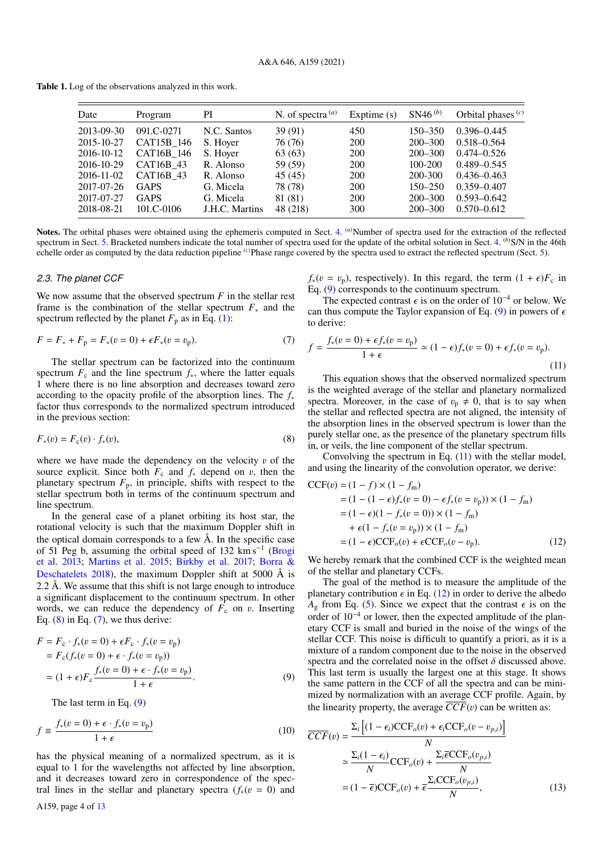Table 1. Log of the observations analyzed in this work.

| Date       | Program     | PI             | N. of spectra $(a)$ | Exptime $(s)$ | $SN46^{(b)}$ | Orbital phases $(c)$ |
|------------|-------------|----------------|---------------------|---------------|--------------|----------------------|
| 2013-09-30 | 091.C-0271  | N.C. Santos    | 39(91)              | 450           | $150 - 350$  | $0.396 - 0.445$      |
| 2015-10-27 | CAT15B_146  | S. Hoyer       | 76 (76)             | 200           | $200 - 300$  | $0.518 - 0.564$      |
| 2016-10-12 | CAT16B 146  | S. Hoyer       | 63 (63)             | <b>200</b>    | $200 - 300$  | $0.474 - 0.526$      |
| 2016-10-29 | CAT16B 43   | R. Alonso      | 59 (59)             | 200           | $100 - 200$  | $0.489 - 0.545$      |
| 2016-11-02 | CAT16B 43   | R. Alonso      | 45(45)              | 200           | 200-300      | $0.436 - 0.463$      |
| 2017-07-26 | <b>GAPS</b> | G. Micela      | 78 (78)             | 200           | $150 - 250$  | $0.359 - 0.407$      |
| 2017-07-27 | <b>GAPS</b> | G. Micela      | 81 (81)             | 200           | $200 - 300$  | $0.593 - 0.642$      |
| 2018-08-21 | 101.C-0106  | J.H.C. Martins | 48 (218)            | 300           | $200 - 300$  | $0.570 - 0.612$      |

Notes. The orbital phases were obtained using the ephemeris computed in Sect. 4. <sup>(a)</sup>Number of spectra used for the extraction of the reflected spectrum in Sect. 5. Bracketed numbers indicate the total number of spectra used for the update of the orbital solution in Sect. 4. <sup>(b)</sup>S/N in the 46th echelle order as computed by the data reduction pipeline <sup>(*c*)</sup>Phase range covered by the spectra used to extract the reflected spectrum (Sect. 5).

#### *2.3. The planet CCF*

We now assume that the observed spectrum *F* in the stellar rest frame is the combination of the stellar spectrum *F*<sup>∗</sup> and the spectrum reflected by the planet  $F_p$  as in Eq. (1):

$$
F = F_* + F_p = F_*(v = 0) + \epsilon F_*(v = v_p). \tag{7}
$$

The stellar spectrum can be factorized into the continuum spectrum  $F_c$  and the line spectrum  $f_*$ , where the latter equals 1 where there is no line absorption and decreases toward zero according to the opacity profile of the absorption lines. The *f*<sup>∗</sup> factor thus corresponds to the normalized spectrum introduced in the previous section:

$$
F_*(v) = F_c(v) \cdot f_*(v), \tag{8}
$$

where we have made the dependency on the velocity  $v$  of the source explicit. Since both  $F_c$  and  $f_*$  depend on v, then the planetary spectrum  $F_p$ , in principle, shifts with respect to the stellar spectrum both in terms of the continuum spectrum and line spectrum.

In the general case of a planet orbiting its host star, the rotational velocity is such that the maximum Doppler shift in the optical domain corresponds to a few Å. In the specific case of 51 Peg b, assuming the orbital speed of 132 km s<sup>-1</sup> (Brogi et al. 2013; Martins et al. 2015; Birkby et al. 2017; Borra & Deschatelets 2018), the maximum Doppler shift at 5000 Å is 2.2 Å. We assume that this shift is not large enough to introduce a significant displacement to the continuum spectrum. In other words, we can reduce the dependency of  $F_c$  on v. Inserting Eq.  $(8)$  in Eq.  $(7)$ , we thus derive:

$$
F = F_c \cdot f_*(v = 0) + \epsilon F_c \cdot f_*(v = v_p)
$$
  
=  $F_c(f_*(v = 0) + \epsilon \cdot f_*(v = v_p))$   
=  $(1 + \epsilon)F_c \frac{f_*(v = 0) + \epsilon \cdot f_*(v = v_p)}{1 + \epsilon}$  (9)

The last term in Eq. (9)

$$
f \equiv \frac{f_*(v=0) + \epsilon \cdot f_*(v=v_{\rm p})}{1+\epsilon} \tag{10}
$$

has the physical meaning of a normalized spectrum, as it is equal to 1 for the wavelengths not affected by line absorption, and it decreases toward zero in correspondence of the spectral lines in the stellar and planetary spectra ( $f_*(v = 0)$ ) and  $f_*(v = v_p)$ , respectively). In this regard, the term  $(1 + \epsilon)F_c$  in Eq. (9) corresponds to the continuum spectrum.

The expected contrast  $\epsilon$  is on the order of 10<sup>-4</sup> or below. We can thus compute the Taylor expansion of Eq. (9) in powers of  $\epsilon$ to derive:

$$
f = \frac{f_*(v=0) + \epsilon f_*(v=v_{\mathbf{p}})}{1+\epsilon} \simeq (1-\epsilon)f_*(v=0) + \epsilon f_*(v=v_{\mathbf{p}}).
$$
\n(11)

This equation shows that the observed normalized spectrum is the weighted average of the stellar and planetary normalized spectra. Moreover, in the case of  $v_p \neq 0$ , that is to say when the stellar and reflected spectra are not aligned, the intensity of the absorption lines in the observed spectrum is lower than the purely stellar one, as the presence of the planetary spectrum fills in, or veils, the line component of the stellar spectrum.

Convolving the spectrum in Eq. (11) with the stellar model, and using the linearity of the convolution operator, we derive:

$$
CCF(v) = (1 - f) \times (1 - f_m)
$$
  
= (1 - (1 - \epsilon)f\_\*(v = 0) - \epsilon f\_\*(v = v\_p)) \times (1 - f\_m)  
= (1 - \epsilon)(1 - f\_\*(v = 0)) \times (1 - f\_m)  
+ \epsilon(1 - f\_\*(v = v\_p)) \times (1 - f\_m)  
= (1 - \epsilon)CCF<sub>o</sub>(v) + \epsilon CCF<sub>o</sub>(v - v\_p). (12)

We hereby remark that the combined CCF is the weighted mean of the stellar and planetary CCFs.

The goal of the method is to measure the amplitude of the planetary contribution  $\epsilon$  in Eq. (12) in order to derive the albedo  $A_{\varphi}$  from Eq. (5). Since we expect that the contrast  $\epsilon$  is on the order of 10−<sup>4</sup> or lower, then the expected amplitude of the planetary CCF is small and buried in the noise of the wings of the stellar CCF. This noise is difficult to quantify a priori, as it is a mixture of a random component due to the noise in the observed spectra and the correlated noise in the offset  $\delta$  discussed above. This last term is usually the largest one at this stage. It shows the same pattern in the CCF of all the spectra and can be minimized by normalization with an average CCF profile. Again, by the linearity property, the average  $\overline{CCF}(v)$  can be written as:

$$
\overline{CCF}(v) = \frac{\Sigma_i \left[ (1 - \epsilon_i)\overline{CCF}_o(v) + \epsilon_i \overline{CCF}_o(v - v_{p,i}) \right]}{N}
$$

$$
\simeq \frac{\Sigma_i (1 - \epsilon_i)}{N} \overline{CCF}_o(v) + \frac{\Sigma_i \overline{\epsilon} \overline{CCF}_o(v_{p,i})}{N}
$$

$$
= (1 - \overline{\epsilon}) \overline{CCF}_o(v) + \overline{\epsilon} \frac{\Sigma_i \overline{CCF}_o(v_{p,i})}{N},
$$
(13)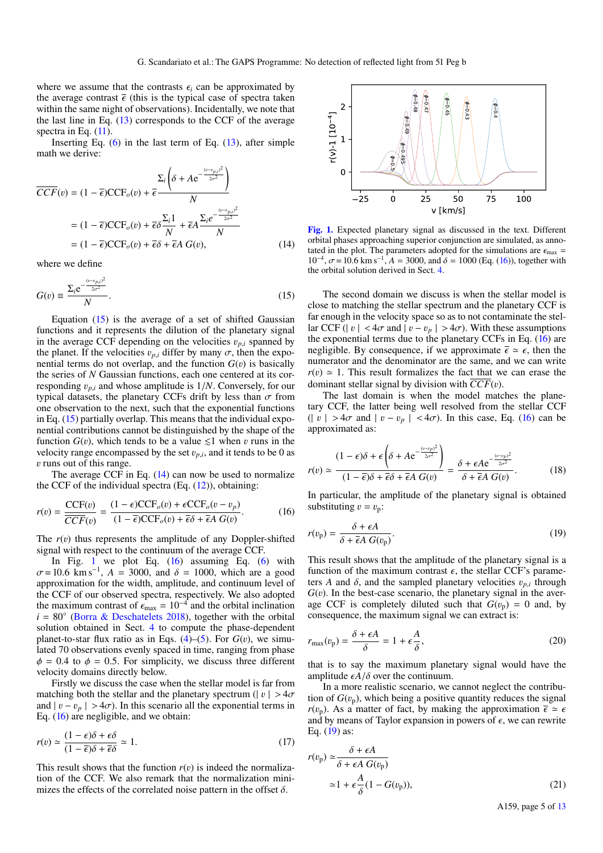where we assume that the contrasts  $\epsilon_i$  can be approximated by the average contrast  $\bar{\epsilon}$  (this is the typical case of spectra taken within the same night of observations). Incidentally, we note that the last line in Eq. (13) corresponds to the CCF of the average spectra in Eq.  $(11)$ .

Inserting Eq.  $(6)$  in the last term of Eq.  $(13)$ , after simple math we derive:

$$
\overline{CCF}(v) = (1 - \overline{\epsilon})\overline{CCF}_o(v) + \overline{\epsilon} \frac{\Sigma_i \left(\delta + Ae^{-\frac{(v - v_{p,i})^2}{2\sigma^2}}\right)}{N}
$$

$$
= (1 - \overline{\epsilon})\overline{CCF}_o(v) + \overline{\epsilon}\delta \frac{\Sigma_i 1}{N} + \overline{\epsilon}A \frac{\Sigma_i e^{-\frac{(v - v_{p,i})^2}{2\sigma^2}}}{N}
$$

$$
= (1 - \overline{\epsilon})\overline{CCF}_o(v) + \overline{\epsilon}\delta + \overline{\epsilon}A G(v), \qquad (14)
$$

where we define

$$
G(v) \equiv \frac{\Sigma_i e^{-\frac{(v-v_{p,i})^2}{2\sigma^2}}}{N}.
$$
\n(15)

Equation  $(15)$  is the average of a set of shifted Gaussian functions and it represents the dilution of the planetary signal in the average CCF depending on the velocities  $v_{p,i}$  spanned by the planet. If the velocities  $v_{p,i}$  differ by many  $\sigma$ , then the exponential terms do not overlap, and the function  $G(v)$  is basically the series of *N* Gaussian functions, each one centered at its corresponding  $v_{p,i}$  and whose amplitude is  $1/N$ . Conversely, for our typical datasets, the planetary CCFs drift by less than  $\sigma$  from one observation to the next, such that the exponential functions in Eq.  $(15)$  partially overlap. This means that the individual exponential contributions cannot be distinguished by the shape of the function  $G(v)$ , which tends to be a value  $\leq 1$  when v runs in the velocity range encompassed by the set  $v_{p,i}$ , and it tends to be 0 as v runs out of this range.

The average CCF in Eq.  $(14)$  can now be used to normalize the CCF of the individual spectra  $(Eq. (12))$ , obtaining:

$$
r(v) = \frac{\text{CCF}(v)}{\overline{CCF}(v)} = \frac{(1 - \epsilon)\text{CCF}_o(v) + \epsilon\text{CCF}_o(v - v_p)}{(1 - \overline{\epsilon})\text{CCF}_o(v) + \overline{\epsilon}\delta + \overline{\epsilon}A\ G(v)}.
$$
 (16)

The  $r(v)$  thus represents the amplitude of any Doppler-shifted signal with respect to the continuum of the average CCF.

In Fig. 1 we plot Eq.  $(16)$  assuming Eq.  $(6)$  with  $\sigma = 10.6$  km s<sup>-1</sup>,  $A = 3000$ , and  $\delta = 1000$ , which are a good approximation for the width, amplitude, and continuum level of the CCF of our observed spectra, respectively. We also adopted the maximum contrast of  $\epsilon_{\text{max}} = 10^{-4}$  and the orbital inclination  $i = 80^\circ$  (Borra & Deschatelets 2018), together with the orbital solution obtained in Sect. 4 to compute the phase-dependent planet-to-star flux ratio as in Eqs.  $(4)$ – $(5)$ . For  $G(v)$ , we simulated 70 observations evenly spaced in time, ranging from phase  $\phi = 0.4$  to  $\phi = 0.5$ . For simplicity, we discuss three different velocity domains directly below.

Firstly we discuss the case when the stellar model is far from matching both the stellar and the planetary spectrum ( $|v| > 4\sigma$ and  $|v - v_p| > 4\sigma$ ). In this scenario all the exponential terms in Eq. (16) are negligible, and we obtain:

$$
r(v) \simeq \frac{(1 - \epsilon)\delta + \epsilon\delta}{(1 - \overline{\epsilon})\delta + \overline{\epsilon}\delta} \simeq 1.
$$
 (17)

This result shows that the function  $r(v)$  is indeed the normalization of the CCF. We also remark that the normalization minimizes the effects of the correlated noise pattern in the offset  $\delta$ .



[Fig. 1.](http://dexter.edpsciences.org/applet.php?DOI=10.1051/0004-6361/202039271&pdf_id=0) Expected planetary signal as discussed in the text. Different orbital phases approaching superior conjunction are simulated, as annotated in the plot. The parameters adopted for the simulations are  $\epsilon_{\text{max}} =$  $10^{-4}$ ,  $\sigma$  = 10.6 km s<sup>-1</sup>,  $A = 3000$ , and  $\delta = 1000$  (Eq. (16)), together with the orbital solution derived in Sect. 4.

The second domain we discuss is when the stellar model is close to matching the stellar spectrum and the planetary CCF is far enough in the velocity space so as to not contaminate the stellar CCF ( $|v| < 4\sigma$  and  $|v - v_p| > 4\sigma$ ). With these assumptions the exponential terms due to the planetary CCFs in Eq. (16) are negligible. By consequence, if we approximate  $\bar{\epsilon} \simeq \epsilon$ , then the numerator and the denominator are the same, and we can write  $r(v) \approx 1$ . This result formalizes the fact that we can erase the dominant stellar signal by division with  $\overline{CCF}(v)$ .

The last domain is when the model matches the planetary CCF, the latter being well resolved from the stellar CCF  $(|v| > 4\sigma$  and  $|v - v_p| < 4\sigma$ ). In this case, Eq. (16) can be approximated as:

$$
r(v) \simeq \frac{(1-\epsilon)\delta + \epsilon \left(\delta + Ae^{-\frac{(v-v_p)^2}{2\sigma^2}}\right)}{(1-\overline{\epsilon})\delta + \overline{\epsilon}\delta + \overline{\epsilon}A} \frac{\delta + \epsilon Ae^{-\frac{(v-v_p)^2}{2\sigma^2}}}{\delta + \overline{\epsilon}A} \frac{1}{G(v)}.
$$
 (18)

In particular, the amplitude of the planetary signal is obtained substituting  $v = v_p$ :

$$
r(v_{\rm p}) = \frac{\delta + \epsilon A}{\delta + \overline{\epsilon}A \ G(v_{\rm p})}.\tag{19}
$$

This result shows that the amplitude of the planetary signal is a function of the maximum contrast  $\epsilon$ , the stellar CCF's parameters *A* and  $\delta$ , and the sampled planetary velocities  $v_{p,i}$  through  $G(v)$ . In the best-case scenario, the planetary signal in the average CCF is completely diluted such that  $G(v_n) = 0$  and, by consequence, the maximum signal we can extract is:

$$
r_{\text{max}}(v_{\text{p}}) = \frac{\delta + \epsilon A}{\delta} = 1 + \epsilon \frac{A}{\delta},\tag{20}
$$

that is to say the maximum planetary signal would have the amplitude  $\epsilon A/\delta$  over the continuum.

In a more realistic scenario, we cannot neglect the contribution of  $G(v_p)$ , which being a positive quantity reduces the signal  $r(v_p)$ . As a matter of fact, by making the approximation  $\bar{\epsilon} \simeq \epsilon$ and by means of Taylor expansion in powers of  $\epsilon$ , we can rewrite Eq. (19) as:

$$
r(v_{\rm p}) \simeq \frac{\delta + \epsilon A}{\delta + \epsilon A \ G(v_{\rm p})}
$$
  
\simeq 1 + \epsilon \frac{A}{\delta} (1 - G(v\_{\rm p})), \t(21)

A159, page 5 of 13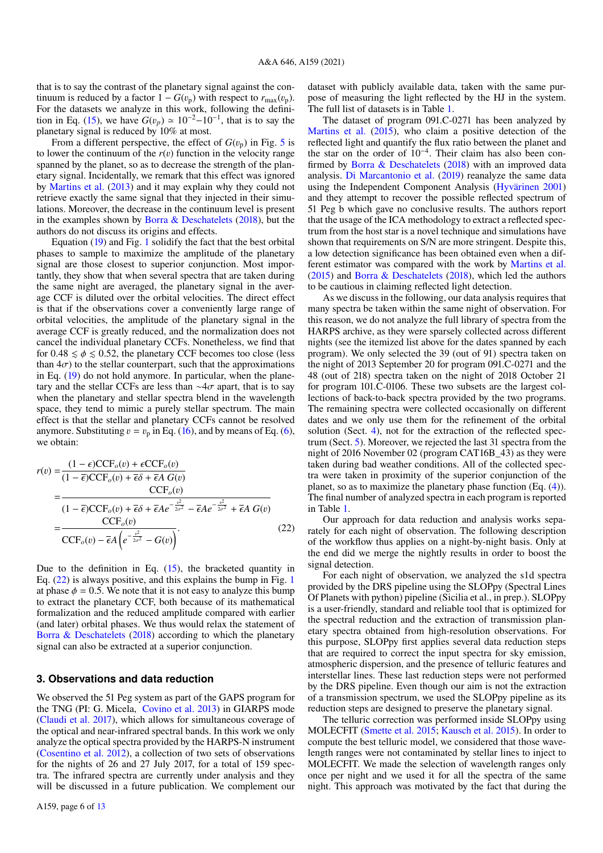that is to say the contrast of the planetary signal against the continuum is reduced by a factor  $1 - G(v_p)$  with respect to  $r_{\text{max}}(v_p)$ . For the datasets we analyze in this work, following the definition in Eq. (15), we have  $G(v_p) \approx 10^{-2} - 10^{-1}$ , that is to say the planetary signal is reduced by 10% at most.

From a different perspective, the effect of  $G(v_p)$  in Fig. 5 is to lower the continuum of the  $r(v)$  function in the velocity range spanned by the planet, so as to decrease the strength of the planetary signal. Incidentally, we remark that this effect was ignored by Martins et al. (2013) and it may explain why they could not retrieve exactly the same signal that they injected in their simulations. Moreover, the decrease in the continuum level is present in the examples shown by Borra  $\&$  Deschatelets (2018), but the authors do not discuss its origins and effects.

Equation (19) and Fig. 1 solidify the fact that the best orbital phases to sample to maximize the amplitude of the planetary signal are those closest to superior conjunction. Most importantly, they show that when several spectra that are taken during the same night are averaged, the planetary signal in the average CCF is diluted over the orbital velocities. The direct effect is that if the observations cover a conveniently large range of orbital velocities, the amplitude of the planetary signal in the average CCF is greatly reduced, and the normalization does not cancel the individual planetary CCFs. Nonetheless, we find that for  $0.48 \le \phi \le 0.52$ , the planetary CCF becomes too close (less than  $4\sigma$ ) to the stellar counterpart, such that the approximations in Eq. (19) do not hold anymore. In particular, when the planetary and the stellar CCFs are less than  $\sim$ 4 $\sigma$  apart, that is to say when the planetary and stellar spectra blend in the wavelength space, they tend to mimic a purely stellar spectrum. The main effect is that the stellar and planetary CCFs cannot be resolved anymore. Substituting  $v = v_p$  in Eq. (16), and by means of Eq. (6), we obtain:

$$
r(v) = \frac{(1 - \epsilon)\text{CCF}_o(v) + \epsilon\text{CCF}_o(v)}{(1 - \overline{\epsilon})\text{CCF}_o(v) + \overline{\epsilon}\delta + \overline{\epsilon}A G(v)}
$$
  
= 
$$
\frac{\text{CCF}_o(v)}{(1 - \overline{\epsilon})\text{CCF}_o(v) + \overline{\epsilon}\delta + \overline{\epsilon}Ae^{-\frac{v^2}{2\sigma^2}} - \overline{\epsilon}Ae^{-\frac{v^2}{2\sigma^2}} + \overline{\epsilon}A G(v)}
$$
  
= 
$$
\frac{\text{CCF}_o(v)}{\text{CCF}_o(v) - \overline{\epsilon}A\left(e^{-\frac{v^2}{2\sigma^2}} - G(v)\right)}.
$$
 (22)

Due to the definition in Eq.  $(15)$ , the bracketed quantity in Eq. (22) is always positive, and this explains the bump in Fig. 1 at phase  $\phi = 0.5$ . We note that it is not easy to analyze this bump to extract the planetary CCF, both because of its mathematical formalization and the reduced amplitude compared with earlier (and later) orbital phases. We thus would relax the statement of Borra & Deschatelets (2018) according to which the planetary signal can also be extracted at a superior conjunction.

## **3. Observations and data reduction**

We observed the 51 Peg system as part of the GAPS program for the TNG (PI: G. Micela, Covino et al. 2013) in GIARPS mode (Claudi et al. 2017), which allows for simultaneous coverage of the optical and near-infrared spectral bands. In this work we only analyze the optical spectra provided by the HARPS-N instrument (Cosentino et al. 2012), a collection of two sets of observations for the nights of 26 and 27 July 2017, for a total of 159 spectra. The infrared spectra are currently under analysis and they will be discussed in a future publication. We complement our

dataset with publicly available data, taken with the same purpose of measuring the light reflected by the HJ in the system. The full list of datasets is in Table 1.

The dataset of program 091.C-0271 has been analyzed by Martins et al. (2015), who claim a positive detection of the reflected light and quantify the flux ratio between the planet and the star on the order of 10−<sup>4</sup> . Their claim has also been confirmed by Borra & Deschatelets (2018) with an improved data analysis. Di Marcantonio et al. (2019) reanalyze the same data using the Independent Component Analysis (Hyvärinen 2001) and they attempt to recover the possible reflected spectrum of 51 Peg b which gave no conclusive results. The authors report that the usage of the ICA methodology to extract a reflected spectrum from the host star is a novel technique and simulations have shown that requirements on S/N are more stringent. Despite this, a low detection significance has been obtained even when a different estimator was compared with the work by Martins et al. (2015) and Borra & Deschatelets (2018), which led the authors to be cautious in claiming reflected light detection.

As we discuss in the following, our data analysis requires that many spectra be taken within the same night of observation. For this reason, we do not analyze the full library of spectra from the HARPS archive, as they were sparsely collected across different nights (see the itemized list above for the dates spanned by each program). We only selected the 39 (out of 91) spectra taken on the night of 2013 September 20 for program 091.C-0271 and the 48 (out of 218) spectra taken on the night of 2018 October 21 for program 101.C-0106. These two subsets are the largest collections of back-to-back spectra provided by the two programs. The remaining spectra were collected occasionally on different dates and we only use them for the refinement of the orbital solution (Sect. 4), not for the extraction of the reflected spectrum (Sect. 5). Moreover, we rejected the last 31 spectra from the night of 2016 November 02 (program CAT16B\_43) as they were taken during bad weather conditions. All of the collected spectra were taken in proximity of the superior conjunction of the planet, so as to maximize the planetary phase function (Eq. (4)). The final number of analyzed spectra in each program is reported in Table 1.

Our approach for data reduction and analysis works separately for each night of observation. The following description of the workflow thus applies on a night-by-night basis. Only at the end did we merge the nightly results in order to boost the signal detection.

For each night of observation, we analyzed the s1d spectra provided by the DRS pipeline using the SLOPpy (Spectral Lines Of Planets with python) pipeline (Sicilia et al., in prep.). SLOPpy is a user-friendly, standard and reliable tool that is optimized for the spectral reduction and the extraction of transmission planetary spectra obtained from high-resolution observations. For this purpose, SLOPpy first applies several data reduction steps that are required to correct the input spectra for sky emission, atmospheric dispersion, and the presence of telluric features and interstellar lines. These last reduction steps were not performed by the DRS pipeline. Even though our aim is not the extraction of a transmission spectrum, we used the SLOPpy pipeline as its reduction steps are designed to preserve the planetary signal.

The telluric correction was performed inside SLOPpy using MOLECFIT (Smette et al. 2015; Kausch et al. 2015). In order to compute the best telluric model, we considered that those wavelength ranges were not contaminated by stellar lines to inject to MOLECFIT. We made the selection of wavelength ranges only once per night and we used it for all the spectra of the same night. This approach was motivated by the fact that during the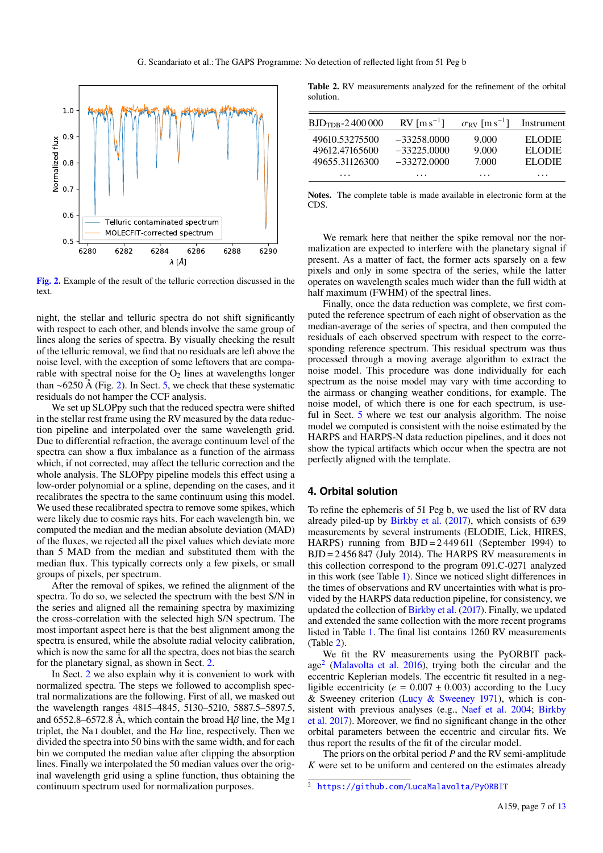

[Fig. 2.](http://dexter.edpsciences.org/applet.php?DOI=10.1051/0004-6361/202039271&pdf_id=0) Example of the result of the telluric correction discussed in the text.

night, the stellar and telluric spectra do not shift significantly with respect to each other, and blends involve the same group of lines along the series of spectra. By visually checking the result of the telluric removal, we find that no residuals are left above the noise level, with the exception of some leftovers that are comparable with spectral noise for the  $O_2$  lines at wavelengths longer than ∼6250 Å (Fig. 2). In Sect. 5, we check that these systematic residuals do not hamper the CCF analysis.

We set up SLOPpy such that the reduced spectra were shifted in the stellar rest frame using the RV measured by the data reduction pipeline and interpolated over the same wavelength grid. Due to differential refraction, the average continuum level of the spectra can show a flux imbalance as a function of the airmass which, if not corrected, may affect the telluric correction and the whole analysis. The SLOPpy pipeline models this effect using a low-order polynomial or a spline, depending on the cases, and it recalibrates the spectra to the same continuum using this model. We used these recalibrated spectra to remove some spikes, which were likely due to cosmic rays hits. For each wavelength bin, we computed the median and the median absolute deviation (MAD) of the fluxes, we rejected all the pixel values which deviate more than 5 MAD from the median and substituted them with the median flux. This typically corrects only a few pixels, or small groups of pixels, per spectrum.

After the removal of spikes, we refined the alignment of the spectra. To do so, we selected the spectrum with the best S/N in the series and aligned all the remaining spectra by maximizing the cross-correlation with the selected high S/N spectrum. The most important aspect here is that the best alignment among the spectra is ensured, while the absolute radial velocity calibration, which is now the same for all the spectra, does not bias the search for the planetary signal, as shown in Sect. 2.

In Sect. 2 we also explain why it is convenient to work with normalized spectra. The steps we followed to accomplish spectral normalizations are the following. First of all, we masked out the wavelength ranges 4815–4845, 5130–5210, 5887.5–5897.5, and 6552.8–6572.8 Å, which contain the broad H $\beta$  line, the Mg I triplet, the Na<sub>I</sub> doublet, and the H $\alpha$  line, respectively. Then we divided the spectra into 50 bins with the same width, and for each bin we computed the median value after clipping the absorption lines. Finally we interpolated the 50 median values over the original wavelength grid using a spline function, thus obtaining the continuum spectrum used for normalization purposes.

Table 2. RV measurements analyzed for the refinement of the orbital solution.

| $BJD_{TDB} - 2400000$                              | RV $\lceil m s^{-1} \rceil$                     | $\sigma_{\rm RV}$ [m s <sup>-1</sup> ] | Instrument                          |
|----------------------------------------------------|-------------------------------------------------|----------------------------------------|-------------------------------------|
| 49610.53275500<br>49612.47165600<br>49655.31126300 | $-33258,0000$<br>$-33225.0000$<br>$-33272,0000$ | 9.000<br>9.000<br>7.000                | <b>ELODIE</b><br>EL ODIE<br>EL ODIE |
| .                                                  | .                                               | .                                      | .                                   |

Notes. The complete table is made available in electronic form at the CDS.

We remark here that neither the spike removal nor the normalization are expected to interfere with the planetary signal if present. As a matter of fact, the former acts sparsely on a few pixels and only in some spectra of the series, while the latter operates on wavelength scales much wider than the full width at half maximum (FWHM) of the spectral lines.

Finally, once the data reduction was complete, we first computed the reference spectrum of each night of observation as the median-average of the series of spectra, and then computed the residuals of each observed spectrum with respect to the corresponding reference spectrum. This residual spectrum was thus processed through a moving average algorithm to extract the noise model. This procedure was done individually for each spectrum as the noise model may vary with time according to the airmass or changing weather conditions, for example. The noise model, of which there is one for each spectrum, is useful in Sect. 5 where we test our analysis algorithm. The noise model we computed is consistent with the noise estimated by the HARPS and HARPS-N data reduction pipelines, and it does not show the typical artifacts which occur when the spectra are not perfectly aligned with the template.

## **4. Orbital solution**

To refine the ephemeris of 51 Peg b, we used the list of RV data already piled-up by Birkby et al. (2017), which consists of 639 measurements by several instruments (ELODIE, Lick, HIRES, HARPS) running from BJD = 2 449 611 (September 1994) to BJD = 2 456 847 (July 2014). The HARPS RV measurements in this collection correspond to the program 091.C-0271 analyzed in this work (see Table 1). Since we noticed slight differences in the times of observations and RV uncertainties with what is provided by the HARPS data reduction pipeline, for consistency, we updated the collection of Birkby et al. (2017). Finally, we updated and extended the same collection with the more recent programs listed in Table 1. The final list contains 1260 RV measurements (Table 2).

We fit the RV measurements using the PyORBIT package2 (Malavolta et al. 2016), trying both the circular and the eccentric Keplerian models. The eccentric fit resulted in a negligible eccentricity ( $e = 0.007 \pm 0.003$ ) according to the Lucy & Sweeney criterion (Lucy & Sweeney 1971), which is consistent with previous analyses (e.g., Naef et al. 2004; Birkby et al. 2017). Moreover, we find no significant change in the other orbital parameters between the eccentric and circular fits. We thus report the results of the fit of the circular model.

The priors on the orbital period *P* and the RV semi-amplitude *K* were set to be uniform and centered on the estimates already

<sup>2</sup> <https://github.com/LucaMalavolta/PyORBIT>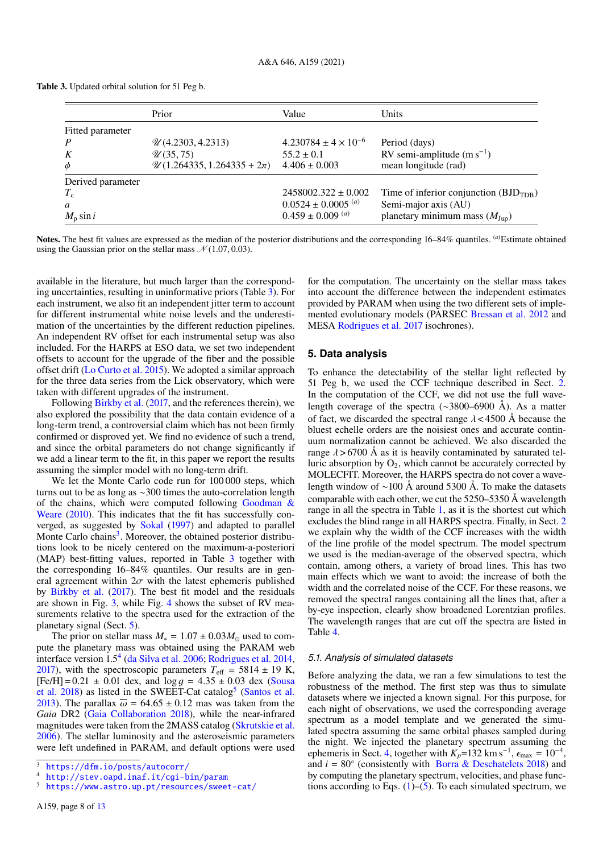Table 3. Updated orbital solution for 51 Peg b.

|                   | Prior                                    | Value                              | <b>Units</b>                               |
|-------------------|------------------------------------------|------------------------------------|--------------------------------------------|
| Fitted parameter  |                                          |                                    |                                            |
|                   | $\mathcal{U}(4.2303, 4.2313)$            | $4.230784 \pm 4 \times 10^{-6}$    | Period (days)                              |
|                   | $\mathscr{U}(35, 75)$                    | $55.2 \pm 0.1$                     | RV semi-amplitude $(m s^{-1})$             |
| $\phi$            | $\mathcal{U}(1.264335, 1.264335 + 2\pi)$ | $4.406 \pm 0.003$                  | mean longitude (rad)                       |
| Derived parameter |                                          |                                    |                                            |
| $T_{\rm c}$       |                                          | $2458002.322 \pm 0.002$            | Time of inferior conjunction $(BJD_{TDB})$ |
| a                 |                                          | $0.0524 \pm 0.0005$ <sup>(a)</sup> | Semi-major axis (AU)                       |
| $M_{\rm p}$ sin i |                                          | $0.459 \pm 0.009$ <sup>(a)</sup>   | planetary minimum mass $(M_{\text{Jup}})$  |

Notes. The best fit values are expressed as the median of the posterior distributions and the corresponding 16–84% quantiles. (*a*)Estimate obtained using the Gaussian prior on the stellar mass  $\mathcal{N}(1.07, 0.03)$ .

available in the literature, but much larger than the corresponding uncertainties, resulting in uninformative priors (Table 3). For each instrument, we also fit an independent jitter term to account for different instrumental white noise levels and the underestimation of the uncertainties by the different reduction pipelines. An independent RV offset for each instrumental setup was also included. For the HARPS at ESO data, we set two independent offsets to account for the upgrade of the fiber and the possible offset drift (Lo Curto et al. 2015). We adopted a similar approach for the three data series from the Lick observatory, which were taken with different upgrades of the instrument.

Following Birkby et al. (2017, and the references therein), we also explored the possibility that the data contain evidence of a long-term trend, a controversial claim which has not been firmly confirmed or disproved yet. We find no evidence of such a trend, and since the orbital parameters do not change significantly if we add a linear term to the fit, in this paper we report the results assuming the simpler model with no long-term drift.

We let the Monte Carlo code run for 100 000 steps, which turns out to be as long as ∼300 times the auto-correlation length of the chains, which were computed following Goodman  $\&$ Weare (2010). This indicates that the fit has successfully converged, as suggested by Sokal (1997) and adapted to parallel Monte Carlo chains<sup>3</sup>. Moreover, the obtained posterior distributions look to be nicely centered on the maximum-a-posteriori (MAP) best-fitting values, reported in Table 3 together with the corresponding 16–84% quantiles. Our results are in general agreement within  $2\sigma$  with the latest ephemeris published by Birkby et al. (2017). The best fit model and the residuals are shown in Fig. 3, while Fig. 4 shows the subset of RV measurements relative to the spectra used for the extraction of the planetary signal (Sect. 5).

The prior on stellar mass  $M_* = 1.07 \pm 0.03 M_{\odot}$  used to compute the planetary mass was obtained using the PARAM web interface version 1.54 (da Silva et al. 2006; Rodrigues et al. 2014, 2017), with the spectroscopic parameters  $T_{\text{eff}} = 5814 \pm 19$  K,  $[Fe/H] = 0.21 \pm 0.01$  dex, and  $\log g = 4.35 \pm 0.03$  dex (Sousa et al. 2018) as listed in the SWEET-Cat catalog<sup>5</sup> (Santos et al. 2013). The parallax  $\overline{\omega} = 64.65 \pm 0.12$  mas was taken from the *Gaia* DR2 (Gaia Collaboration 2018), while the near-infrared magnitudes were taken from the 2MASS catalog (Skrutskie et al. 2006). The stellar luminosity and the asteroseismic parameters were left undefined in PARAM, and default options were used

for the computation. The uncertainty on the stellar mass takes into account the difference between the independent estimates provided by PARAM when using the two different sets of implemented evolutionary models (PARSEC Bressan et al. 2012 and MESA Rodrigues et al. 2017 isochrones).

## **5. Data analysis**

To enhance the detectability of the stellar light reflected by 51 Peg b, we used the CCF technique described in Sect. 2. In the computation of the CCF, we did not use the full wavelength coverage of the spectra (∼3800–6900 Å). As a matter of fact, we discarded the spectral range  $\lambda$  < 4500 Å because the bluest echelle orders are the noisiest ones and accurate continuum normalization cannot be achieved. We also discarded the range  $\lambda$  > 6700 Å as it is heavily contaminated by saturated telluric absorption by  $O_2$ , which cannot be accurately corrected by MOLECFIT. Moreover, the HARPS spectra do not cover a wavelength window of ∼100 Å around 5300 Å. To make the datasets comparable with each other, we cut the 5250–5350 Å wavelength range in all the spectra in Table 1, as it is the shortest cut which excludes the blind range in all HARPS spectra. Finally, in Sect. 2 we explain why the width of the CCF increases with the width of the line profile of the model spectrum. The model spectrum we used is the median-average of the observed spectra, which contain, among others, a variety of broad lines. This has two main effects which we want to avoid: the increase of both the width and the correlated noise of the CCF. For these reasons, we removed the spectral ranges containing all the lines that, after a by-eye inspection, clearly show broadened Lorentzian profiles. The wavelength ranges that are cut off the spectra are listed in Table 4.

### *5.1. Analysis of simulated datasets*

Before analyzing the data, we ran a few simulations to test the robustness of the method. The first step was thus to simulate datasets where we injected a known signal. For this purpose, for each night of observations, we used the corresponding average spectrum as a model template and we generated the simulated spectra assuming the same orbital phases sampled during the night. We injected the planetary spectrum assuming the ephemeris in Sect. 4, together with  $K_p = 132$  km s<sup>-1</sup>,  $\epsilon_{\text{max}} = 10^{-4}$ , and  $i = 80^\circ$  (consistently with Borra & Deschatelets 2018) and by computing the planetary spectrum, velocities, and phase functions according to Eqs.  $(1)$ – $(5)$ . To each simulated spectrum, we

<sup>3</sup> <https://dfm.io/posts/autocorr/>

<sup>4</sup> <http://stev.oapd.inaf.it/cgi-bin/param>

<sup>5</sup> <https://www.astro.up.pt/resources/sweet-cat/>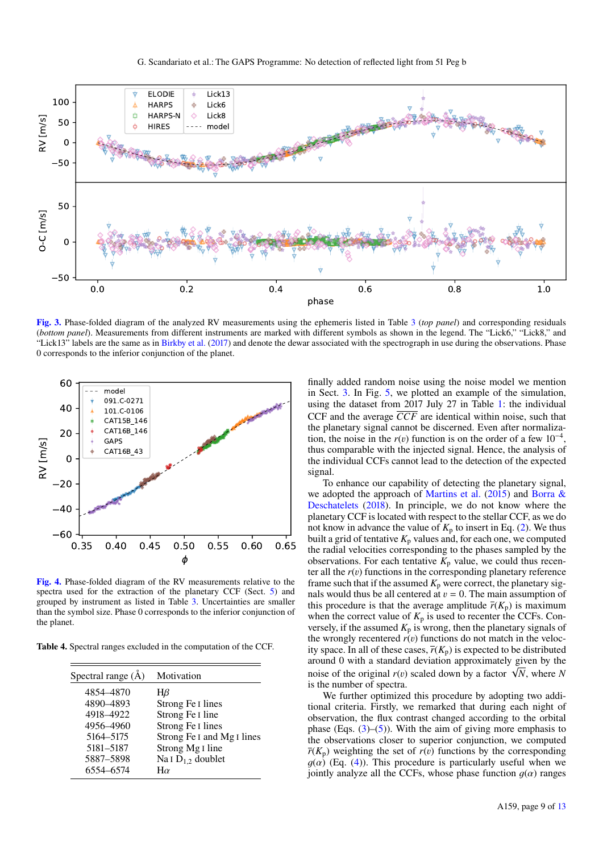

[Fig. 3.](http://dexter.edpsciences.org/applet.php?DOI=10.1051/0004-6361/202039271&pdf_id=0) Phase-folded diagram of the analyzed RV measurements using the ephemeris listed in Table 3 (*top panel*) and corresponding residuals (*bottom panel*). Measurements from different instruments are marked with different symbols as shown in the legend. The "Lick6," "Lick8," and "Lick13" labels are the same as in Birkby et al. (2017) and denote the dewar associated with the spectrograph in use during the observations. Phase 0 corresponds to the inferior conjunction of the planet.



[Fig. 4.](http://dexter.edpsciences.org/applet.php?DOI=10.1051/0004-6361/202039271&pdf_id=0) Phase-folded diagram of the RV measurements relative to the spectra used for the extraction of the planetary CCF (Sect. 5) and grouped by instrument as listed in Table 3. Uncertainties are smaller than the symbol size. Phase 0 corresponds to the inferior conjunction of the planet.

Table 4. Spectral ranges excluded in the computation of the CCF.

| Spectral range $(\AA)$ | Motivation                  |
|------------------------|-----------------------------|
|                        |                             |
| 4854–4870              | Hβ                          |
| 4890-4893              | Strong Fe I lines           |
| 4918-4922              | Strong Fe I line            |
| 4956-4960              | Strong Fe I lines           |
| 5164-5175              | Strong Fe I and Mg I lines  |
| 5181-5187              | Strong Mg <sub>I</sub> line |
| 5887-5898              | Na I $D_{1,2}$ doublet      |
| 6554-6574              | $H\alpha$                   |

finally added random noise using the noise model we mention in Sect. 3. In Fig. 5, we plotted an example of the simulation, using the dataset from 2017 July 27 in Table 1: the individual CCF and the average  $\overline{CCF}$  are identical within noise, such that the planetary signal cannot be discerned. Even after normalization, the noise in the  $r(v)$  function is on the order of a few  $10^{-4}$ , thus comparable with the injected signal. Hence, the analysis of the individual CCFs cannot lead to the detection of the expected signal.

To enhance our capability of detecting the planetary signal, we adopted the approach of Martins et al. (2015) and Borra & Deschatelets (2018). In principle, we do not know where the planetary CCF is located with respect to the stellar CCF, as we do not know in advance the value of  $K_p$  to insert in Eq. (2). We thus built a grid of tentative  $K_p$  values and, for each one, we computed the radial velocities corresponding to the phases sampled by the observations. For each tentative  $K_p$  value, we could thus recenter all the  $r(v)$  functions in the corresponding planetary reference frame such that if the assumed  $K_p$  were correct, the planetary signals would thus be all centered at  $v = 0$ . The main assumption of this procedure is that the average amplitude  $\overline{r}(K_p)$  is maximum when the correct value of  $K_p$  is used to recenter the CCFs. Conversely, if the assumed  $K_p$  is wrong, then the planetary signals of the wrongly recentered  $r(v)$  functions do not match in the velocity space. In all of these cases,  $\overline{r}(K_p)$  is expected to be distributed around 0 with a standard deviation approximately given by the noise of the original  $r(v)$  scaled down by a factor  $\sqrt{N}$ , where *N* is the number of spectra.

We further optimized this procedure by adopting two additional criteria. Firstly, we remarked that during each night of observation, the flux contrast changed according to the orbital phase (Eqs.  $(3)$ – $(5)$ ). With the aim of giving more emphasis to the observations closer to superior conjunction, we computed  $\overline{r}(K_p)$  weighting the set of  $r(v)$  functions by the corresponding  $g(\alpha)$  (Eq. (4)). This procedure is particularly useful when we jointly analyze all the CCFs, whose phase function  $g(\alpha)$  ranges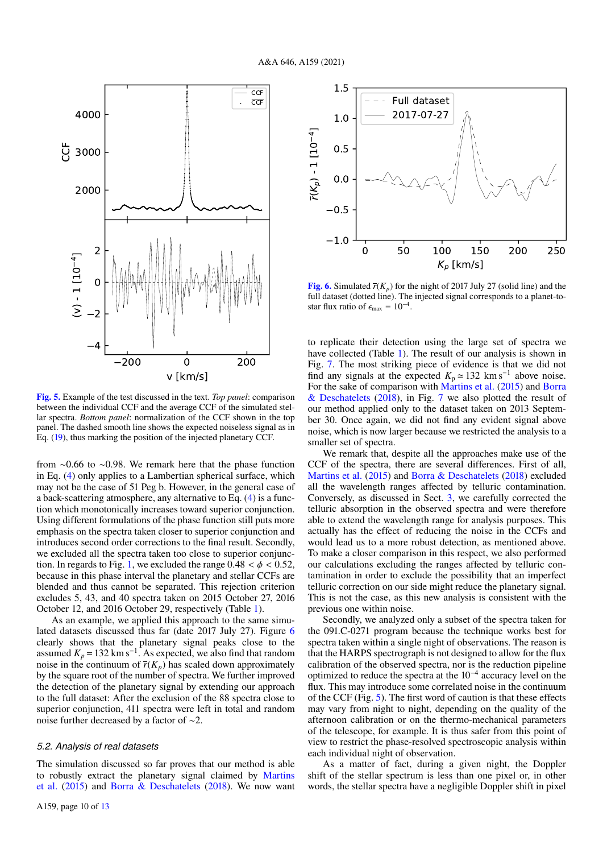

[Fig. 5.](http://dexter.edpsciences.org/applet.php?DOI=10.1051/0004-6361/202039271&pdf_id=0) Example of the test discussed in the text. *Top panel*: comparison between the individual CCF and the average CCF of the simulated stellar spectra. *Bottom panel*: normalization of the CCF shown in the top panel. The dashed smooth line shows the expected noiseless signal as in Eq. (19), thus marking the position of the injected planetary CCF.

from ∼0.66 to ∼0.98. We remark here that the phase function in Eq. (4) only applies to a Lambertian spherical surface, which may not be the case of 51 Peg b. However, in the general case of a back-scattering atmosphere, any alternative to Eq. (4) is a function which monotonically increases toward superior conjunction. Using different formulations of the phase function still puts more emphasis on the spectra taken closer to superior conjunction and introduces second order corrections to the final result. Secondly, we excluded all the spectra taken too close to superior conjunction. In regards to Fig. 1, we excluded the range  $0.48 < \phi < 0.52$ , because in this phase interval the planetary and stellar CCFs are blended and thus cannot be separated. This rejection criterion excludes 5, 43, and 40 spectra taken on 2015 October 27, 2016 October 12, and 2016 October 29, respectively (Table 1).

As an example, we applied this approach to the same simulated datasets discussed thus far (date 2017 July 27). Figure 6 clearly shows that the planetary signal peaks close to the assumed  $K_p = 132 \text{ km s}^{-1}$ . As expected, we also find that random noise in the continuum of  $\overline{r}(K_p)$  has scaled down approximately by the square root of the number of spectra. We further improved the detection of the planetary signal by extending our approach to the full dataset: After the exclusion of the 88 spectra close to superior conjunction, 411 spectra were left in total and random noise further decreased by a factor of ∼2.

## *5.2. Analysis of real datasets*

The simulation discussed so far proves that our method is able to robustly extract the planetary signal claimed by Martins et al. (2015) and Borra & Deschatelets (2018). We now want



**[Fig. 6.](http://dexter.edpsciences.org/applet.php?DOI=10.1051/0004-6361/202039271&pdf_id=0)** Simulated  $\overline{r}(K_p)$  for the night of 2017 July 27 (solid line) and the full dataset (dotted line). The injected signal corresponds to a planet-tostar flux ratio of  $\epsilon_{\text{max}} = 10^{-4}$ .

to replicate their detection using the large set of spectra we have collected (Table 1). The result of our analysis is shown in Fig. 7. The most striking piece of evidence is that we did not find any signals at the expected  $K_p \approx 132 \text{ km s}^{-1}$  above noise. For the sake of comparison with Martins et al. (2015) and Borra & Deschatelets (2018), in Fig. 7 we also plotted the result of our method applied only to the dataset taken on 2013 September 30. Once again, we did not find any evident signal above noise, which is now larger because we restricted the analysis to a smaller set of spectra.

We remark that, despite all the approaches make use of the CCF of the spectra, there are several differences. First of all, Martins et al. (2015) and Borra & Deschatelets (2018) excluded all the wavelength ranges affected by telluric contamination. Conversely, as discussed in Sect. 3, we carefully corrected the telluric absorption in the observed spectra and were therefore able to extend the wavelength range for analysis purposes. This actually has the effect of reducing the noise in the CCFs and would lead us to a more robust detection, as mentioned above. To make a closer comparison in this respect, we also performed our calculations excluding the ranges affected by telluric contamination in order to exclude the possibility that an imperfect telluric correction on our side might reduce the planetary signal. This is not the case, as this new analysis is consistent with the previous one within noise.

Secondly, we analyzed only a subset of the spectra taken for the 091.C-0271 program because the technique works best for spectra taken within a single night of observations. The reason is that the HARPS spectrograph is not designed to allow for the flux calibration of the observed spectra, nor is the reduction pipeline optimized to reduce the spectra at the 10−<sup>4</sup> accuracy level on the flux. This may introduce some correlated noise in the continuum of the CCF (Fig. 5). The first word of caution is that these effects may vary from night to night, depending on the quality of the afternoon calibration or on the thermo-mechanical parameters of the telescope, for example. It is thus safer from this point of view to restrict the phase-resolved spectroscopic analysis within each individual night of observation.

As a matter of fact, during a given night, the Doppler shift of the stellar spectrum is less than one pixel or, in other words, the stellar spectra have a negligible Doppler shift in pixel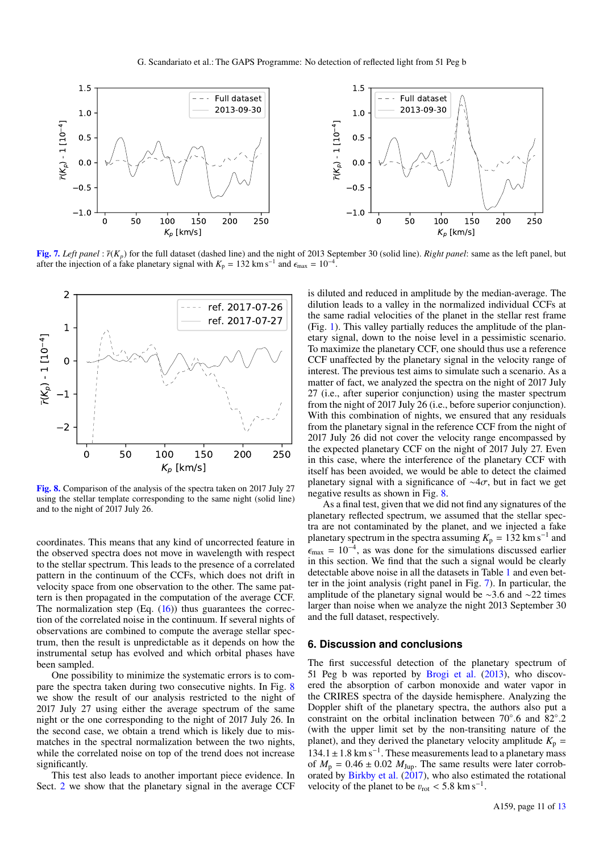

[Fig. 7.](http://dexter.edpsciences.org/applet.php?DOI=10.1051/0004-6361/202039271&pdf_id=0) Left panel :  $\bar{r}(K_n)$  for the full dataset (dashed line) and the night of 2013 September 30 (solid line). *Right panel*: same as the left panel, but after the injection of a fake planetary signal with  $K_p = 132 \text{ km s}^{-1}$  and  $\epsilon_{\text{max}} = 10^{-4}$ .



[Fig. 8.](http://dexter.edpsciences.org/applet.php?DOI=10.1051/0004-6361/202039271&pdf_id=0) Comparison of the analysis of the spectra taken on 2017 July 27 using the stellar template corresponding to the same night (solid line) and to the night of 2017 July 26.

coordinates. This means that any kind of uncorrected feature in the observed spectra does not move in wavelength with respect to the stellar spectrum. This leads to the presence of a correlated pattern in the continuum of the CCFs, which does not drift in velocity space from one observation to the other. The same pattern is then propagated in the computation of the average CCF. The normalization step  $(Eq. (16))$  thus guarantees the correction of the correlated noise in the continuum. If several nights of observations are combined to compute the average stellar spectrum, then the result is unpredictable as it depends on how the instrumental setup has evolved and which orbital phases have been sampled.

One possibility to minimize the systematic errors is to compare the spectra taken during two consecutive nights. In Fig. 8 we show the result of our analysis restricted to the night of 2017 July 27 using either the average spectrum of the same night or the one corresponding to the night of 2017 July 26. In the second case, we obtain a trend which is likely due to mismatches in the spectral normalization between the two nights, while the correlated noise on top of the trend does not increase significantly.

This test also leads to another important piece evidence. In Sect. 2 we show that the planetary signal in the average CCF is diluted and reduced in amplitude by the median-average. The dilution leads to a valley in the normalized individual CCFs at the same radial velocities of the planet in the stellar rest frame (Fig. 1). This valley partially reduces the amplitude of the planetary signal, down to the noise level in a pessimistic scenario. To maximize the planetary CCF, one should thus use a reference CCF unaffected by the planetary signal in the velocity range of interest. The previous test aims to simulate such a scenario. As a matter of fact, we analyzed the spectra on the night of 2017 July 27 (i.e., after superior conjunction) using the master spectrum from the night of 2017 July 26 (i.e., before superior conjunction). With this combination of nights, we ensured that any residuals from the planetary signal in the reference CCF from the night of 2017 July 26 did not cover the velocity range encompassed by the expected planetary CCF on the night of 2017 July 27. Even in this case, where the interference of the planetary CCF with itself has been avoided, we would be able to detect the claimed planetary signal with a significance of  $\sim$ 4 $\sigma$ , but in fact we get negative results as shown in Fig. 8.

As a final test, given that we did not find any signatures of the planetary reflected spectrum, we assumed that the stellar spectra are not contaminated by the planet, and we injected a fake planetary spectrum in the spectra assuming  $K_p = 132$  km s<sup>-1</sup> and  $\epsilon_{\text{max}} = 10^{-4}$ , as was done for the simulations discussed earlier in this section. We find that the such a signal would be clearly detectable above noise in all the datasets in Table 1 and even better in the joint analysis (right panel in Fig. 7). In particular, the amplitude of the planetary signal would be ∼3.6 and ∼22 times larger than noise when we analyze the night 2013 September 30 and the full dataset, respectively.

### **6. Discussion and conclusions**

The first successful detection of the planetary spectrum of 51 Peg b was reported by Brogi et al. (2013), who discovered the absorption of carbon monoxide and water vapor in the CRIRES spectra of the dayside hemisphere. Analyzing the Doppler shift of the planetary spectra, the authors also put a constraint on the orbital inclination between 70◦ .6 and 82◦ .2 (with the upper limit set by the non-transiting nature of the planet), and they derived the planetary velocity amplitude  $K_p$  =  $134.1 \pm 1.8$  km s<sup>-1</sup>. These measurements lead to a planetary mass of  $M_p = 0.46 \pm 0.02$   $M_{\text{Jup}}$ . The same results were later corroborated by Birkby et al. (2017), who also estimated the rotational velocity of the planet to be  $v_{\text{rot}} < 5.8 \text{ km s}^{-1}$ .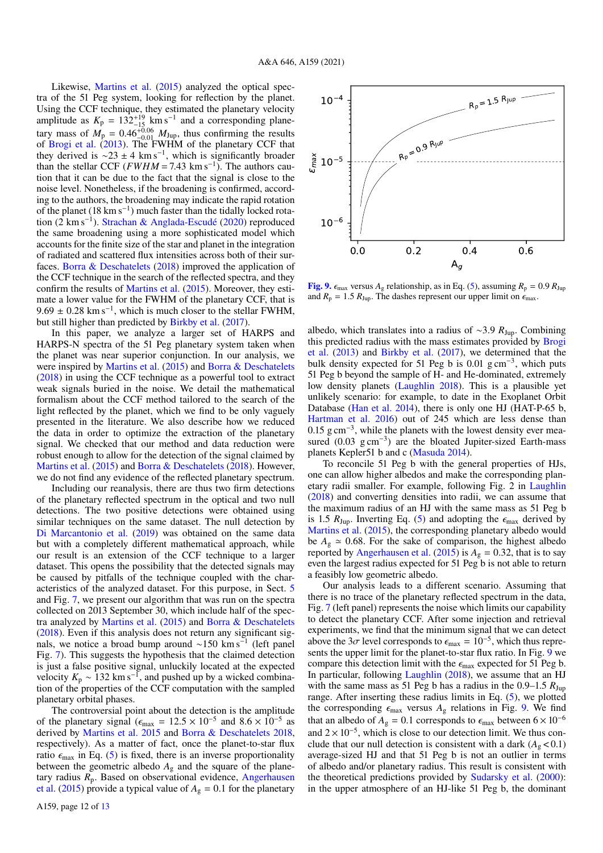Likewise, Martins et al. (2015) analyzed the optical spectra of the 51 Peg system, looking for reflection by the planet. Using the CCF technique, they estimated the planetary velocity amplitude as  $K_p = 132^{+19}_{-15}$  km s<sup>-1</sup> and a corresponding planetary mass of  $M_p = 0.46_{-0.01}^{+0.06} M_{Jup}$ , thus confirming the results of Brogi et al. (2013). The FWHM of the planetary CCF that they derived is  $\sim$ 23 ± 4 km s<sup>-1</sup>, which is significantly broader than the stellar CCF ( $FWHM = 7.43 \text{ km s}^{-1}$ ). The authors caution that it can be due to the fact that the signal is close to the noise level. Nonetheless, if the broadening is confirmed, according to the authors, the broadening may indicate the rapid rotation of the planet (18 km s<sup>-1</sup>) much faster than the tidally locked rotation (2 km s−<sup>1</sup> ). Strachan & Anglada-Escudé (2020) reproduced the same broadening using a more sophisticated model which accounts for the finite size of the star and planet in the integration of radiated and scattered flux intensities across both of their surfaces. Borra & Deschatelets (2018) improved the application of the CCF technique in the search of the reflected spectra, and they confirm the results of Martins et al. (2015). Moreover, they estimate a lower value for the FWHM of the planetary CCF, that is  $9.69 \pm 0.28$  km s<sup>-1</sup>, which is much closer to the stellar FWHM, but still higher than predicted by Birkby et al. (2017).

In this paper, we analyze a larger set of HARPS and HARPS-N spectra of the 51 Peg planetary system taken when the planet was near superior conjunction. In our analysis, we were inspired by Martins et al. (2015) and Borra & Deschatelets (2018) in using the CCF technique as a powerful tool to extract weak signals buried in the noise. We detail the mathematical formalism about the CCF method tailored to the search of the light reflected by the planet, which we find to be only vaguely presented in the literature. We also describe how we reduced the data in order to optimize the extraction of the planetary signal. We checked that our method and data reduction were robust enough to allow for the detection of the signal claimed by Martins et al. (2015) and Borra & Deschatelets (2018). However, we do not find any evidence of the reflected planetary spectrum.

Including our reanalysis, there are thus two firm detections of the planetary reflected spectrum in the optical and two null detections. The two positive detections were obtained using similar techniques on the same dataset. The null detection by Di Marcantonio et al. (2019) was obtained on the same data but with a completely different mathematical approach, while our result is an extension of the CCF technique to a larger dataset. This opens the possibility that the detected signals may be caused by pitfalls of the technique coupled with the characteristics of the analyzed dataset. For this purpose, in Sect. 5 and Fig. 7, we present our algorithm that was run on the spectra collected on 2013 September 30, which include half of the spectra analyzed by Martins et al. (2015) and Borra & Deschatelets (2018). Even if this analysis does not return any significant signals, we notice a broad bump around ~150 km s<sup>-1</sup> (left panel Fig. 7). This suggests the hypothesis that the claimed detection is just a false positive signal, unluckily located at the expected velocity  $K_p \sim 132 \text{ km s}^{-1}$ , and pushed up by a wicked combination of the properties of the CCF computation with the sampled planetary orbital phases.

The controversial point about the detection is the amplitude of the planetary signal ( $\epsilon_{\text{max}} = 12.5 \times 10^{-5}$  and  $8.6 \times 10^{-5}$  as derived by Martins et al. 2015 and Borra & Deschatelets 2018, respectively). As a matter of fact, once the planet-to-star flux ratio  $\epsilon_{\text{max}}$  in Eq. (5) is fixed, there is an inverse proportionality between the geometric albedo  $A_g$  and the square of the planetary radius  $R_p$ . Based on observational evidence, Angerhausen et al. (2015) provide a typical value of  $A<sub>g</sub> = 0.1$  for the planetary



**[Fig. 9.](http://dexter.edpsciences.org/applet.php?DOI=10.1051/0004-6361/202039271&pdf_id=0)**  $\epsilon_{\text{max}}$  versus  $A_g$  relationship, as in Eq. (5), assuming  $R_p = 0.9 R_{\text{Jup}}$ and  $R_p = 1.5 R_{Jup}$ . The dashes represent our upper limit on  $\epsilon_{\text{max}}$ .

albedo, which translates into a radius of ∼3.9 *R*Jup. Combining this predicted radius with the mass estimates provided by Brogi et al. (2013) and Birkby et al. (2017), we determined that the bulk density expected for 51 Peg b is 0.01  $\text{g cm}^{-3}$ , which puts 51 Peg b beyond the sample of H- and He-dominated, extremely low density planets (Laughlin 2018). This is a plausible yet unlikely scenario: for example, to date in the Exoplanet Orbit Database (Han et al. 2014), there is only one HJ (HAT-P-65 b, Hartman et al. 2016) out of 245 which are less dense than  $0.15$  g cm<sup>-3</sup>, while the planets with the lowest density ever measured (0.03 g cm<sup>-3</sup>) are the bloated Jupiter-sized Earth-mass planets Kepler51 b and c (Masuda 2014).

To reconcile 51 Peg b with the general properties of HJs, one can allow higher albedos and make the corresponding planetary radii smaller. For example, following Fig. 2 in Laughlin (2018) and converting densities into radii, we can assume that the maximum radius of an HJ with the same mass as 51 Peg b is 1.5  $R_{\text{Jun}}$ . Inverting Eq. (5) and adopting the  $\epsilon_{\text{max}}$  derived by Martins et al. (2015), the corresponding planetary albedo would be  $A_g \approx 0.68$ . For the sake of comparison, the highest albedo reported by Angerhausen et al. (2015) is  $A<sub>g</sub> = 0.32$ , that is to say even the largest radius expected for 51 Peg b is not able to return a feasibly low geometric albedo.

Our analysis leads to a different scenario. Assuming that there is no trace of the planetary reflected spectrum in the data, Fig. 7 (left panel) represents the noise which limits our capability to detect the planetary CCF. After some injection and retrieval experiments, we find that the minimum signal that we can detect above the 3 $\sigma$  level corresponds to  $\epsilon_{\text{max}} = 10^{-5}$ , which thus represents the upper limit for the planet-to-star flux ratio. In Fig. 9 we compare this detection limit with the  $\epsilon_{\text{max}}$  expected for 51 Peg b. In particular, following Laughlin (2018), we assume that an HJ with the same mass as 51 Peg b has a radius in the  $0.9-1.5 R_{Jup}$ range. After inserting these radius limits in Eq. (5), we plotted the corresponding  $\epsilon_{\text{max}}$  versus  $A_g$  relations in Fig. 9. We find that an albedo of  $A_g = 0.1$  corresponds to  $\epsilon_{\text{max}}$  between  $6 \times 10^{-6}$ and  $2 \times 10^{-5}$ , which is close to our detection limit. We thus conclude that our null detection is consistent with a dark  $(A_{\varrho} < 0.1)$ average-sized HJ and that 51 Peg b is not an outlier in terms of albedo and/or planetary radius. This result is consistent with the theoretical predictions provided by Sudarsky et al. (2000): in the upper atmosphere of an HJ-like 51 Peg b, the dominant